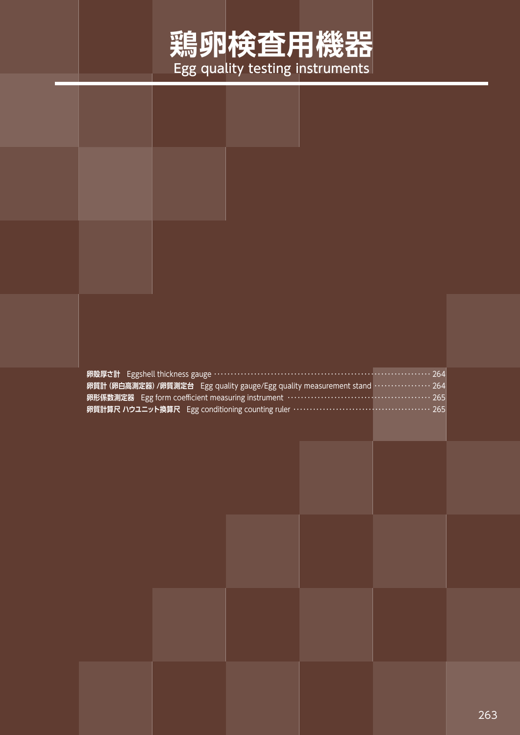## **鶏卵検査用機器** Egg quality testing instruments

| 卵殻厚さ計 Eggshell thickness gauge …………………………………………………………………… 264<br>卵質計 (卵白高測定器) /卵質測定台 Egg quality gauge/Egg quality measurement stand ………………… 264<br>卵形係数測定器 Egg form coefficient measuring instrument …………………………………………… 265 |  |
|-----------------------------------------------------------------------------------------------------------------------------------------------------------------------------------------------------------------------------|--|
| 卵質計算尺 ハウユニット換算尺 Egg conditioning counting ruler ………………………………………… 265                                                                                                                                                        |  |
|                                                                                                                                                                                                                             |  |
|                                                                                                                                                                                                                             |  |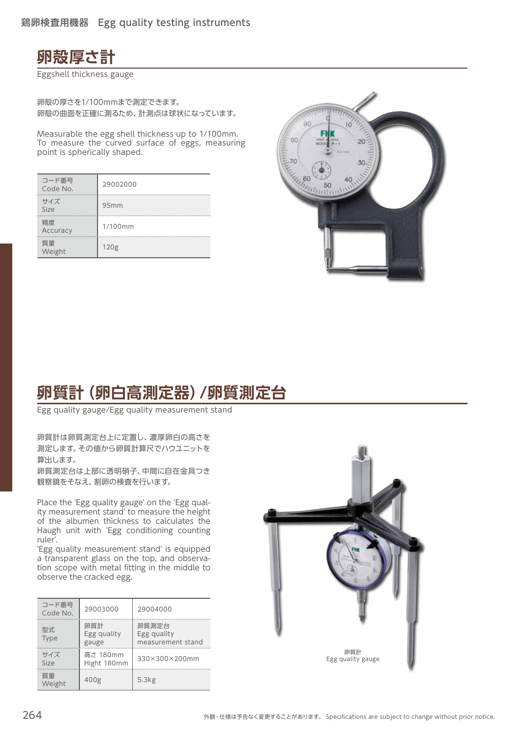

Eggshell thickness gauge

卵殻の厚さを1/100mmまで測定できます。 卵殻の曲面を正確に測るため、計測点は球状になっています。

Measurable the egg shell thickness up to 1/100mm. To measure the curved surface of eggs, measuring point is spherically shaped.

| コード番号<br>Code No. | 29002000         |
|-------------------|------------------|
| サイズ<br>Size       | 95mm             |
| 精度<br>Accuracy    | 1/100mm          |
| 質量<br>Weight      | 120 <sub>g</sub> |



## **卵質計(卵白高測定器)/卵質測定台**

Egg quality gauge/Egg quality measurement stand

卵質計は卵質測定台上に定置し、濃厚卵白の高さを 測定します。その値から卵質計算尺でハウユニットを 算出します。

卵質測定台は上部に透明硝子、中間に自在金具つき 観察鏡をそなえ、割卵の検査を行います。

Place the 'Egg quality gauge' on the 'Egg quality measurement stand' to measure the height of the albumen thickness to calculates the Haugh unit with 'Egg conditioning counting ruler'.

'Egg quality measurement stand' is equipped a transparent glass on the top, and observation scope with metal fitting in the middle to observe the cracked egg.

| コード番号<br>Code No. | 29003000                    | 29004000                                  |
|-------------------|-----------------------------|-------------------------------------------|
| 型式<br>Type        | 卵質計<br>Egg quality<br>gauge | 卵質測定台<br>Egg quality<br>measurement stand |
| サイズ<br>Size       | 高さ 180mm<br>Hight 180mm     | 330×300×200mm                             |
| 質量<br>Weight      | 400 <sub>g</sub>            | 5.3kg                                     |